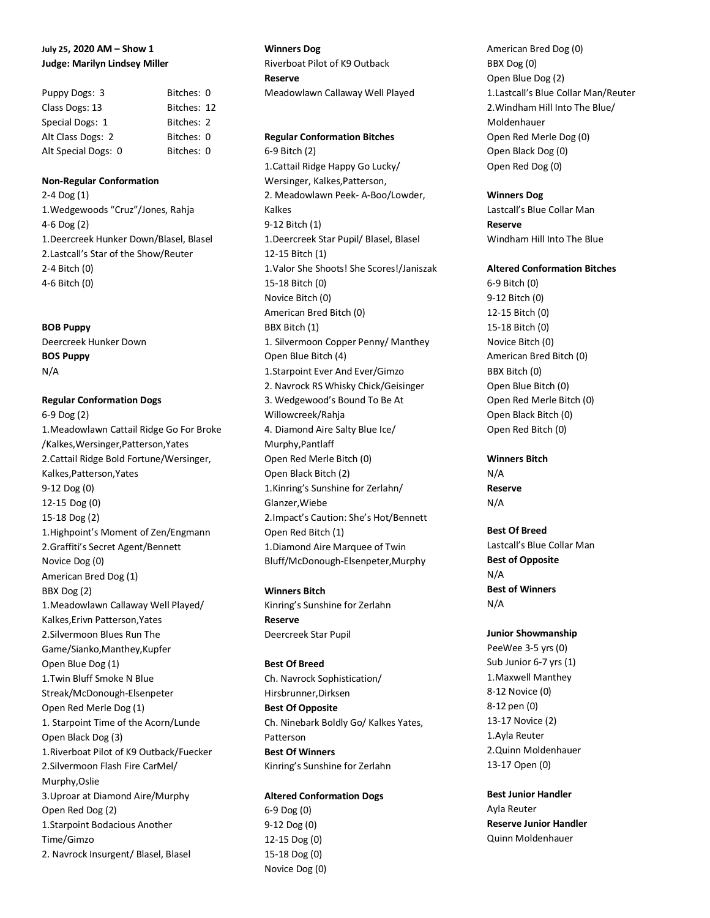# **July 25, 2020 AM – Show 1 Judge: Marilyn Lindsey Miller**

| Puppy Dogs: 3       | Bitches: 0  |  |
|---------------------|-------------|--|
| Class Dogs: 13      | Bitches: 12 |  |
| Special Dogs: 1     | Bitches: 2  |  |
| Alt Class Dogs: 2   | Bitches: 0  |  |
| Alt Special Dogs: 0 | Bitches: 0  |  |

#### **Non-Regular Conformation**

2-4 Dog (1) 1.Wedgewoods "Cruz"/Jones, Rahja 4-6 Dog (2) 1.Deercreek Hunker Down/Blasel, Blasel 2.Lastcall's Star of the Show/Reuter 2-4 Bitch (0) 4-6 Bitch (0)

#### **BOB Puppy**

Deercreek Hunker Down **BOS Puppy** N/A

# **Regular Conformation Dogs**

6-9 Dog (2) 1.Meadowlawn Cattail Ridge Go For Broke /Kalkes,Wersinger,Patterson,Yates 2.Cattail Ridge Bold Fortune/Wersinger, Kalkes,Patterson,Yates 9-12 Dog (0) 12-15 Dog (0) 15-18 Dog (2) 1.Highpoint's Moment of Zen/Engmann 2.Graffiti's Secret Agent/Bennett Novice Dog (0) American Bred Dog (1) BBX Dog (2) 1.Meadowlawn Callaway Well Played/ Kalkes,Erivn Patterson,Yates 2.Silvermoon Blues Run The Game/Sianko,Manthey,Kupfer Open Blue Dog (1) 1.Twin Bluff Smoke N Blue Streak/McDonough-Elsenpeter Open Red Merle Dog (1) 1. Starpoint Time of the Acorn/Lunde Open Black Dog (3) 1.Riverboat Pilot of K9 Outback/Fuecker 2.Silvermoon Flash Fire CarMel/ Murphy,Oslie 3.Uproar at Diamond Aire/Murphy Open Red Dog (2) 1.Starpoint Bodacious Another Time/Gimzo 2. Navrock Insurgent/ Blasel, Blasel

### **Winners Dog**

Riverboat Pilot of K9 Outback **Reserve** Meadowlawn Callaway Well Played

#### **Regular Conformation Bitches**

6-9 Bitch (2) 1.Cattail Ridge Happy Go Lucky/ Wersinger, Kalkes,Patterson, 2. Meadowlawn Peek- A-Boo/Lowder, Kalkes 9-12 Bitch (1) 1.Deercreek Star Pupil/ Blasel, Blasel 12-15 Bitch (1) 1.Valor She Shoots! She Scores!/Janiszak 15-18 Bitch (0) Novice Bitch (0) American Bred Bitch (0) BBX Bitch (1) 1. Silvermoon Copper Penny/ Manthey Open Blue Bitch (4) 1.Starpoint Ever And Ever/Gimzo 2. Navrock RS Whisky Chick/Geisinger 3. Wedgewood's Bound To Be At Willowcreek/Rahja 4. Diamond Aire Salty Blue Ice/ Murphy,Pantlaff Open Red Merle Bitch (0) Open Black Bitch (2) 1.Kinring's Sunshine for Zerlahn/ Glanzer,Wiebe 2.Impact's Caution: She's Hot/Bennett Open Red Bitch (1) 1.Diamond Aire Marquee of Twin Bluff/McDonough-Elsenpeter,Murphy

**Winners Bitch** Kinring's Sunshine for Zerlahn **Reserve** Deercreek Star Pupil

# **Best Of Breed**

Ch. Navrock Sophistication/ Hirsbrunner,Dirksen **Best Of Opposite** Ch. Ninebark Boldly Go/ Kalkes Yates, Patterson **Best Of Winners** Kinring's Sunshine for Zerlahn

# **Altered Conformation Dogs** 6-9 Dog (0) 9-12 Dog (0)

12-15 Dog (0) 15-18 Dog (0) Novice Dog (0)

American Bred Dog (0) BBX Dog (0) Open Blue Dog (2) 1.Lastcall's Blue Collar Man/Reuter 2.Windham Hill Into The Blue/ Moldenhauer Open Red Merle Dog (0) Open Black Dog (0) Open Red Dog (0)

#### **Winners Dog**

Lastcall's Blue Collar Man **Reserve** Windham Hill Into The Blue

### **Altered Conformation Bitches**

6-9 Bitch (0) 9-12 Bitch (0) 12-15 Bitch (0) 15-18 Bitch (0) Novice Bitch (0) American Bred Bitch (0) BBX Bitch (0) Open Blue Bitch (0) Open Red Merle Bitch (0) Open Black Bitch (0) Open Red Bitch (0)

#### **Winners Bitch**

N/A **Reserve** N/A

# **Best Of Breed**

Lastcall's Blue Collar Man **Best of Opposite** N/A **Best of Winners** N/A

#### **Junior Showmanship**

PeeWee 3-5 yrs (0) Sub Junior 6-7 yrs (1) 1.Maxwell Manthey 8-12 Novice (0) 8-12 pen (0) 13-17 Novice (2) 1.Ayla Reuter 2.Quinn Moldenhauer 13-17 Open (0)

**Best Junior Handler** Ayla Reuter **Reserve Junior Handler** Quinn Moldenhauer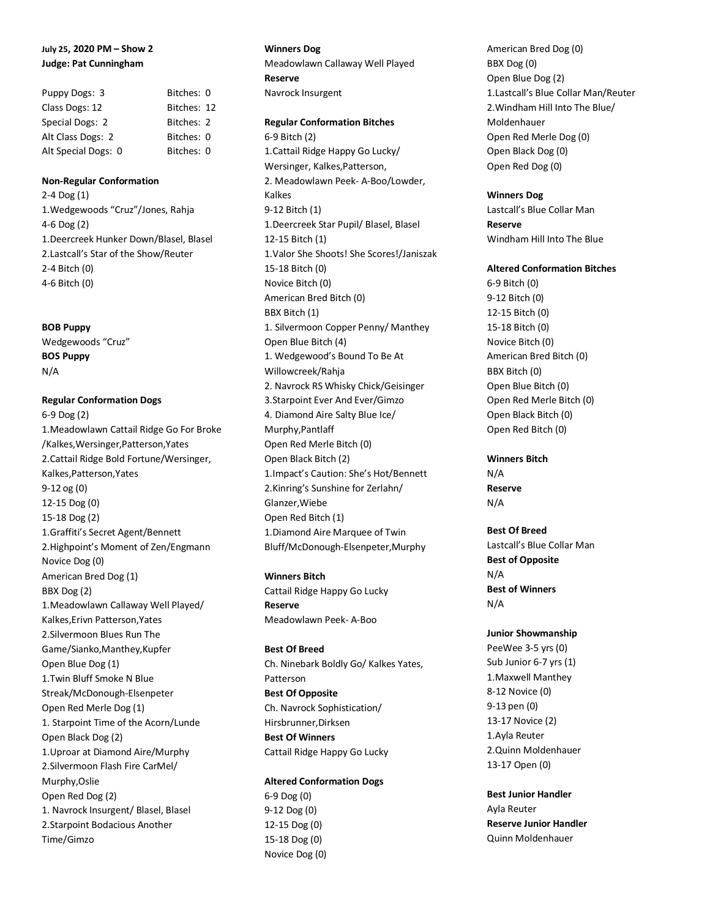# **July 25, 2020 PM – Show 2 Judge: Pat Cunningham**

| Puppy Dogs: 3       | Bitches: 0  |  |
|---------------------|-------------|--|
| Class Dogs: 12      | Bitches: 12 |  |
| Special Dogs: 2     | Bitches: 2  |  |
| Alt Class Dogs: 2   | Bitches: 0  |  |
| Alt Special Dogs: 0 | Bitches: 0  |  |

#### **Non-Regular Conformation**

2-4 Dog (1) 1.Wedgewoods "Cruz"/Jones, Rahja 4-6 Dog (2) 1.Deercreek Hunker Down/Blasel, Blasel 2.Lastcall's Star of the Show/Reuter 2-4 Bitch (0) 4-6 Bitch (0)

#### **BOB Puppy**

Wedgewoods "Cruz" **BOS Puppy** N/A

# **Regular Conformation Dogs**

6-9 Dog (2) 1.Meadowlawn Cattail Ridge Go For Broke /Kalkes,Wersinger,Patterson,Yates 2.Cattail Ridge Bold Fortune/Wersinger, Kalkes,Patterson,Yates 9-12 og (0) 12-15 Dog (0) 15-18 Dog (2) 1.Graffiti's Secret Agent/Bennett 2.Highpoint's Moment of Zen/Engmann Novice Dog (0) American Bred Dog (1) BBX Dog (2) 1.Meadowlawn Callaway Well Played/ Kalkes,Erivn Patterson,Yates 2.Silvermoon Blues Run The Game/Sianko,Manthey,Kupfer Open Blue Dog (1) 1.Twin Bluff Smoke N Blue Streak/McDonough-Elsenpeter Open Red Merle Dog (1) 1. Starpoint Time of the Acorn/Lunde Open Black Dog (2) 1.Uproar at Diamond Aire/Murphy 2.Silvermoon Flash Fire CarMel/ Murphy,Oslie Open Red Dog (2) 1. Navrock Insurgent/ Blasel, Blasel 2.Starpoint Bodacious Another Time/Gimzo

#### **Winners Dog**

Meadowlawn Callaway Well Played **Reserve** Navrock Insurgent

#### **Regular Conformation Bitches**

6-9 Bitch (2) 1.Cattail Ridge Happy Go Lucky/ Wersinger, Kalkes,Patterson, 2. Meadowlawn Peek- A-Boo/Lowder, Kalkes 9-12 Bitch (1) 1.Deercreek Star Pupil/ Blasel, Blasel 12-15 Bitch (1) 1.Valor She Shoots! She Scores!/Janiszak 15-18 Bitch (0) Novice Bitch (0) American Bred Bitch (0) BBX Bitch (1) 1. Silvermoon Copper Penny/ Manthey Open Blue Bitch (4) 1. Wedgewood's Bound To Be At Willowcreek/Rahja 2. Navrock RS Whisky Chick/Geisinger 3.Starpoint Ever And Ever/Gimzo 4. Diamond Aire Salty Blue Ice/ Murphy,Pantlaff Open Red Merle Bitch (0) Open Black Bitch (2) 1.Impact's Caution: She's Hot/Bennett 2.Kinring's Sunshine for Zerlahn/ Glanzer,Wiebe Open Red Bitch (1) 1.Diamond Aire Marquee of Twin Bluff/McDonough-Elsenpeter,Murphy

**Winners Bitch** Cattail Ridge Happy Go Lucky **Reserve** Meadowlawn Peek- A-Boo

**Best Of Breed** Ch. Ninebark Boldly Go/ Kalkes Yates, Patterson **Best Of Opposite** Ch. Navrock Sophistication/ Hirsbrunner,Dirksen **Best Of Winners** Cattail Ridge Happy Go Lucky

**Altered Conformation Dogs**

6-9 Dog (0) 9-12 Dog (0) 12-15 Dog (0) 15-18 Dog (0) Novice Dog (0)

American Bred Dog (0) BBX Dog (0) Open Blue Dog (2) 1.Lastcall's Blue Collar Man/Reuter 2.Windham Hill Into The Blue/ Moldenhauer Open Red Merle Dog (0) Open Black Dog (0) Open Red Dog (0)

#### **Winners Dog**

Lastcall's Blue Collar Man **Reserve** Windham Hill Into The Blue

### **Altered Conformation Bitches**

6-9 Bitch (0) 9-12 Bitch (0) 12-15 Bitch (0) 15-18 Bitch (0) Novice Bitch (0) American Bred Bitch (0) BBX Bitch (0) Open Blue Bitch (0) Open Red Merle Bitch (0) Open Black Bitch (0) Open Red Bitch (0)

#### **Winners Bitch**

N/A **Reserve** N/A

# **Best Of Breed**

Lastcall's Blue Collar Man **Best of Opposite** N/A **Best of Winners** N/A

## **Junior Showmanship**

PeeWee 3-5 yrs (0) Sub Junior 6-7 yrs (1) 1.Maxwell Manthey 8-12 Novice (0) 9-13 pen (0) 13-17 Novice (2) 1.Ayla Reuter 2.Quinn Moldenhauer 13-17 Open (0)

**Best Junior Handler** Ayla Reuter **Reserve Junior Handler** Quinn Moldenhauer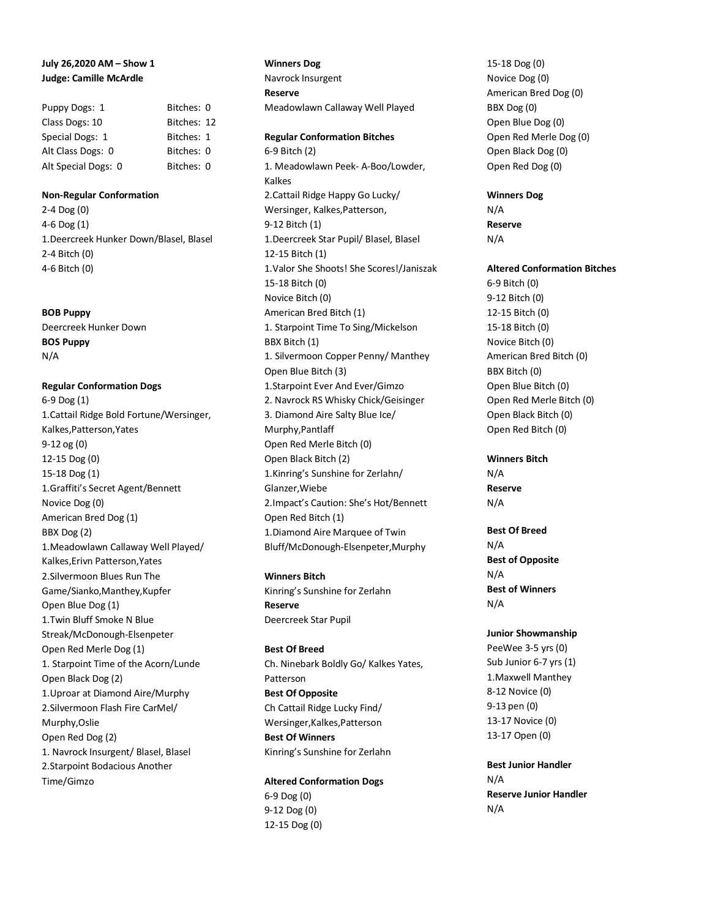# **July 26,2020 AM – Show 1 Judge: Camille McArdle**

| Puppy Dogs: 1       | Bitches: 0  |  |
|---------------------|-------------|--|
| Class Dogs: 10      | Bitches: 12 |  |
| Special Dogs: 1     | Bitches: 1  |  |
| Alt Class Dogs: 0   | Bitches: 0  |  |
| Alt Special Dogs: 0 | Bitches: 0  |  |

### **Non-Regular Conformation**

2-4 Dog (0) 4-6 Dog (1) 1.Deercreek Hunker Down/Blasel, Blasel 2-4 Bitch (0) 4-6 Bitch (0)

### **BOB Puppy**

Deercreek Hunker Down **BOS Puppy** N/A

**Regular Conformation Dogs** 6-9 Dog (1) 1.Cattail Ridge Bold Fortune/Wersinger, Kalkes,Patterson,Yates 9-12 og (0) 12-15 Dog (0) 15-18 Dog (1) 1.Graffiti's Secret Agent/Bennett Novice Dog (0) American Bred Dog (1) BBX Dog (2) 1.Meadowlawn Callaway Well Played/ Kalkes,Erivn Patterson,Yates 2.Silvermoon Blues Run The Game/Sianko,Manthey,Kupfer Open Blue Dog (1) 1.Twin Bluff Smoke N Blue Streak/McDonough-Elsenpeter Open Red Merle Dog (1) 1. Starpoint Time of the Acorn/Lunde Open Black Dog (2) 1.Uproar at Diamond Aire/Murphy 2.Silvermoon Flash Fire CarMel/ Murphy,Oslie Open Red Dog (2) 1. Navrock Insurgent/ Blasel, Blasel 2.Starpoint Bodacious Another Time/Gimzo

**Winners Dog** Navrock Insurgent **Reserve** Meadowlawn Callaway Well Played

**Regular Conformation Bitches** 6-9 Bitch (2) 1. Meadowlawn Peek- A-Boo/Lowder, Kalkes 2.Cattail Ridge Happy Go Lucky/ Wersinger, Kalkes,Patterson, 9-12 Bitch (1) 1.Deercreek Star Pupil/ Blasel, Blasel 12-15 Bitch (1) 1.Valor She Shoots! She Scores!/Janiszak 15-18 Bitch (0) Novice Bitch (0) American Bred Bitch (1) 1. Starpoint Time To Sing/Mickelson BBX Bitch (1) 1. Silvermoon Copper Penny/ Manthey Open Blue Bitch (3) 1.Starpoint Ever And Ever/Gimzo 2. Navrock RS Whisky Chick/Geisinger 3. Diamond Aire Salty Blue Ice/ Murphy,Pantlaff Open Red Merle Bitch (0) Open Black Bitch (2) 1.Kinring's Sunshine for Zerlahn/ Glanzer,Wiebe 2.Impact's Caution: She's Hot/Bennett Open Red Bitch (1) 1.Diamond Aire Marquee of Twin Bluff/McDonough-Elsenpeter,Murphy

**Winners Bitch** Kinring's Sunshine for Zerlahn **Reserve** Deercreek Star Pupil

**Best Of Breed** Ch. Ninebark Boldly Go/ Kalkes Yates, Patterson **Best Of Opposite** Ch Cattail Ridge Lucky Find/ Wersinger,Kalkes,Patterson **Best Of Winners** Kinring's Sunshine for Zerlahn

**Altered Conformation Dogs** 6-9 Dog (0) 9-12 Dog (0) 12-15 Dog (0)

15-18 Dog (0) Novice Dog (0) American Bred Dog (0) BBX Dog (0) Open Blue Dog (0) Open Red Merle Dog (0) Open Black Dog (0) Open Red Dog (0)

**Winners Dog** N/A **Reserve** N/A

### **Altered Conformation Bitches**

6-9 Bitch (0) 9-12 Bitch (0) 12-15 Bitch (0) 15-18 Bitch (0) Novice Bitch (0) American Bred Bitch (0) BBX Bitch (0) Open Blue Bitch (0) Open Red Merle Bitch (0) Open Black Bitch (0) Open Red Bitch (0)

#### **Winners Bitch**

N/A **Reserve** N/A

**Best Of Breed** N/A **Best of Opposite** N/A **Best of Winners** N/A

#### **Junior Showmanship**

PeeWee 3-5 yrs (0) Sub Junior 6-7 yrs (1) 1.Maxwell Manthey 8-12 Novice (0) 9-13 pen (0) 13-17 Novice (0) 13-17 Open (0)

**Best Junior Handler** N/A **Reserve Junior Handler** N/A